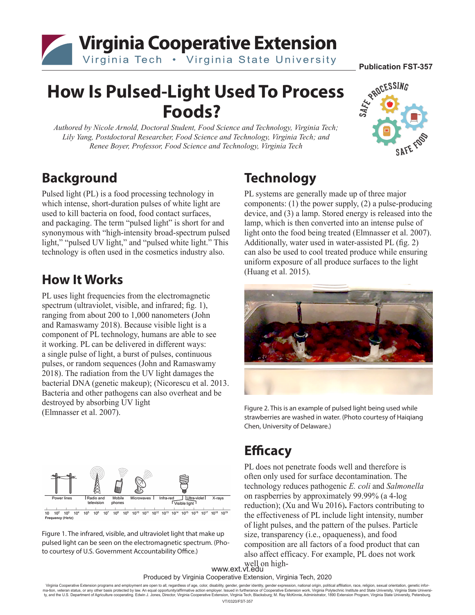

# **How Is Pulsed-Light Used To Process Foods?**

*Authored by Nicole Arnold, Doctoral Student, Food Science and Technology, Virginia Tech; Lily Yang, Postdoctoral Researcher, Food Science and Technology, Virginia Tech; and Renee Boyer, Professor, Food Science and Technology, Virginia Tech*



#### **Background**

Pulsed light (PL) is a food processing technology in which intense, short-duration pulses of white light are used to kill bacteria on food, food contact surfaces, and packaging. The term "pulsed light" is short for and synonymous with "high-intensity broad-spectrum pulsed light," "pulsed UV light," and "pulsed white light." This technology is often used in the cosmetics industry also.

#### **How It Works**

PL uses light frequencies from the electromagnetic spectrum (ultraviolet, visible, and infrared; fig. 1), ranging from about 200 to 1,000 nanometers (John and Ramaswamy 2018). Because visible light is a component of PL technology, humans are able to see it working. PL can be delivered in different ways: a single pulse of light, a burst of pulses, continuous pulses, or random sequences (John and Ramaswamy 2018). The radiation from the UV light damages the bacterial DNA (genetic makeup); (Nicorescu et al. 2013. Bacteria and other pathogens can also overheat and be destroyed by absorbing UV light (Elmnasser et al. 2007).



Figure 1. The infrared, visible, and ultraviolet light that make up pulsed light can be seen on the electromagnetic spectrum. (Photo courtesy of U.S. Government Accountability Office.)

## **Technology**

PL systems are generally made up of three major components: (1) the power supply, (2) a pulse-producing device, and (3) a lamp. Stored energy is released into the lamp, which is then converted into an intense pulse of light onto the food being treated (Elmnasser et al. 2007). Additionally, water used in water-assisted PL (fig. 2) can also be used to cool treated produce while ensuring uniform exposure of all produce surfaces to the light (Huang et al. 2015).



Figure 2. This is an example of pulsed light being used while strawberries are washed in water. (Photo courtesy of Haiqiang Chen, University of Delaware.)

### **Efficacy**

PL does not penetrate foods well and therefore is often only used for surface decontamination. The technology reduces pathogenic *E. coli* and *Salmonella* on raspberries by approximately 99.99% (a 4-log reduction); (Xu and Wu 2016)**.** Factors contributing to the effectiveness of PL include light intensity, number of light pulses, and the pattern of the pulses. Particle size, transparency (i.e., opaqueness), and food composition are all factors of a food product that can also affect efficacy. For example, PL does not work

www.ext.vt.edu well on high-

Produced by Virginia Cooperative Extension, Virginia Tech, 2020

Virginia Cooperative Extension programs and employment are open to all, regardless of age, color, disability, gender, gender identijx, gender spression, national origin, political affiliation, race, religion, sexual orie